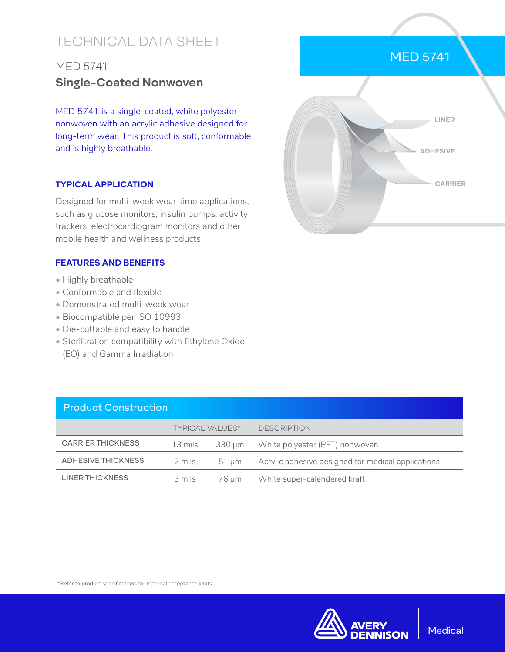# TECHNICAL DATA SHEET

## MED 5741 **Single-Coated Nonwoven**

MED 5741 is a single-coated, white polyester nonwoven with an acrylic adhesive designed for long-term wear. This product is soft, conformable, and is highly breathable.

#### **TYPICAL APPLICATION**

Designed for multi-week wear-time applications, such as glucose monitors, insulin pumps, activity trackers, electrocardiogram monitors and other mobile health and wellness products

#### **FEATURES AND BENEFITS**

- Highly breathable
- Conformable and flexible
- Demonstrated multi-week wear
- Biocompatible per ISO 10993
- Die-cuttable and easy to handle
- Sterilization compatibility with Ethylene Oxide (EO) and Gamma Irradiation

| <b>Product Construction</b> |                        |             |                                                    |  |  |
|-----------------------------|------------------------|-------------|----------------------------------------------------|--|--|
|                             | <b>TYPICAL VALUES*</b> |             | <b>DESCRIPTION</b>                                 |  |  |
| <b>CARRIER THICKNESS</b>    | 13 mils                | $330 \mu m$ | White polyester (PET) nonwoven                     |  |  |
| ADHESIVE THICKNESS          | 2 mils                 | $51 \mu m$  | Acrylic adhesive designed for medical applications |  |  |
| <b>LINER THICKNESS</b>      | 3 mils                 | 76 um       | White super-calendered kraft                       |  |  |